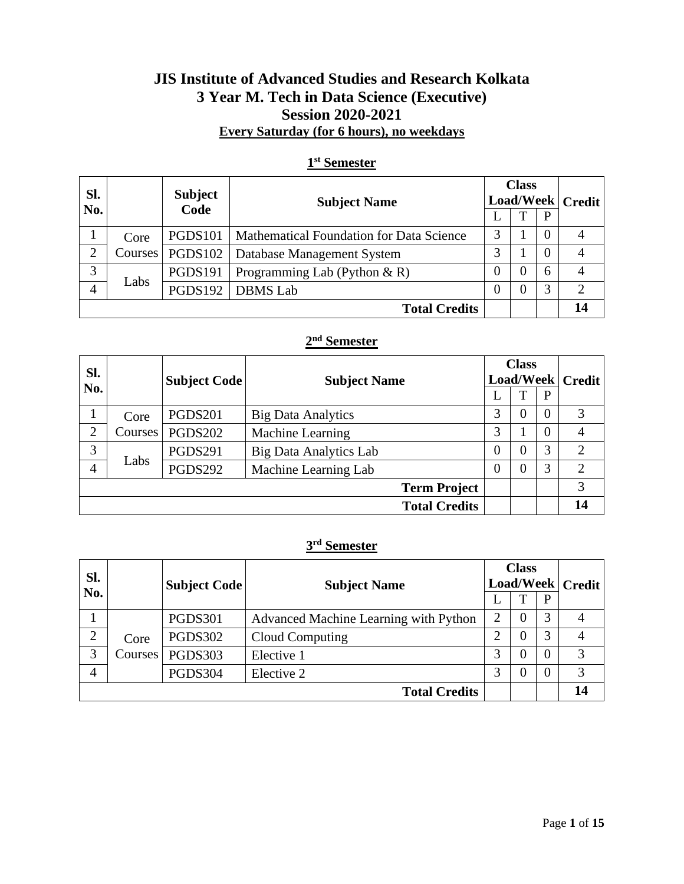### **JIS Institute of Advanced Studies and Research Kolkata 3 Year M. Tech in Data Science (Executive) Session 2020-2021 Every Saturday (for 6 hours), no weekdays**

| Sl.<br>No. |      | <b>Subject</b><br><b>Subject Name</b><br>Code |                                          | <b>Class</b><br>Load/Week   Credit |  |          |  |
|------------|------|-----------------------------------------------|------------------------------------------|------------------------------------|--|----------|--|
|            |      |                                               |                                          |                                    |  | P        |  |
|            | Core | <b>PGDS101</b>                                | Mathematical Foundation for Data Science | 3                                  |  | $\theta$ |  |
| ↑          |      | C <b>ourses</b>   <b>PGDS102</b>              | Database Management System               | 3                                  |  | $\left($ |  |
| 3          |      | <b>PGDS191</b>                                | Programming Lab (Python $\& R$ )         | 0                                  |  | 6        |  |
| 4          | Labs | <b>PGDS192</b>                                | <b>DBMS</b> Lab                          | $_{0}$                             |  | 3        |  |
|            |      |                                               | <b>Total Credits</b>                     |                                    |  |          |  |

### **1 st Semester**

#### **2 nd Semester**

| Sl.<br>No.     |         | <b>Subject Code</b> | <b>Subject Name</b>           |          | <b>Class</b> |          | Load/Week   Credit          |
|----------------|---------|---------------------|-------------------------------|----------|--------------|----------|-----------------------------|
|                |         |                     |                               |          |              | P        |                             |
|                | Core    | <b>PGDS201</b>      | <b>Big Data Analytics</b>     | 3        | 0            | $\theta$ | 3                           |
| 2              | Courses | <b>PGDS202</b>      | Machine Learning              | 3        |              | $\Omega$ |                             |
| 3              |         | <b>PGDS291</b>      | <b>Big Data Analytics Lab</b> | $\Omega$ | 0            | 3        | $\mathcal{D}_{\mathcal{L}}$ |
| $\overline{4}$ | Labs    | <b>PGDS292</b>      | Machine Learning Lab          | 0        | $\Omega$     | 3        | $\overline{2}$              |
|                |         |                     | <b>Term Project</b>           |          |              |          | 3                           |
|                |         |                     | <b>Total Credits</b>          |          |              |          | 14                          |

#### **3 rd Semester**

| Sl.            | <b>Subject Code</b><br><b>Subject Name</b> |                |                                       | <b>Class</b><br>Load/Week   Credit |   |   |    |
|----------------|--------------------------------------------|----------------|---------------------------------------|------------------------------------|---|---|----|
| No.            |                                            |                |                                       |                                    |   | P |    |
|                |                                            | <b>PGDS301</b> | Advanced Machine Learning with Python | 2                                  |   | 3 |    |
| $\overline{2}$ | Core                                       | <b>PGDS302</b> | Cloud Computing                       | ∍                                  | 0 | 3 |    |
| 3              | Courses                                    | <b>PGDS303</b> | Elective 1                            | 3                                  |   |   | 3  |
| 4              |                                            | PGDS304        | Elective 2                            | 3                                  |   | 0 | 3  |
|                |                                            |                | <b>Total Credits</b>                  |                                    |   |   | 14 |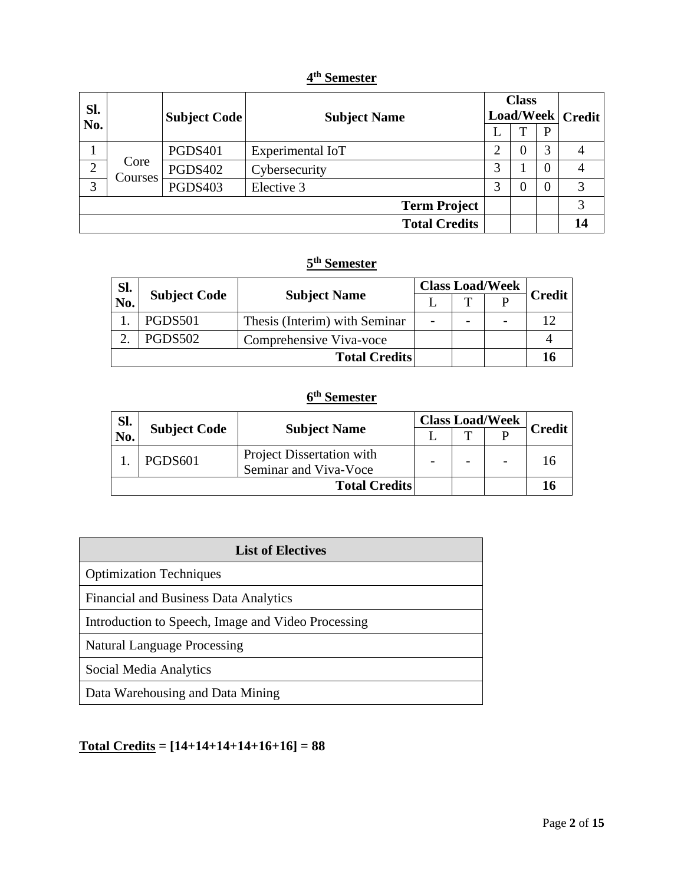### **4 th Semester**

| SI.            | <b>Subject Code</b><br><b>Subject Name</b> |                | <b>Class</b><br>Load/Week   Credit |   |  |              |    |
|----------------|--------------------------------------------|----------------|------------------------------------|---|--|--------------|----|
| No.            |                                            |                |                                    |   |  | $\mathbf{P}$ |    |
|                |                                            | <b>PGDS401</b> | Experimental IoT                   |   |  | 3            |    |
| $\overline{2}$ | Core<br>Courses                            | <b>PGDS402</b> | Cybersecurity                      | 3 |  | 0            |    |
| 3              |                                            | <b>PGDS403</b> | Elective 3                         | 3 |  |              | 3  |
|                |                                            |                | <b>Term Project</b>                |   |  |              | 3  |
|                |                                            |                | <b>Total Credits</b>               |   |  |              | 14 |

### **5 th Semester**

| Sl. |                     |                               | <b>Class Load/Week</b> |              |  |               |
|-----|---------------------|-------------------------------|------------------------|--------------|--|---------------|
| No. | <b>Subject Code</b> | <b>Subject Name</b>           |                        | $\mathbf{T}$ |  | <b>Credit</b> |
|     | <b>PGDS501</b>      | Thesis (Interim) with Seminar |                        |              |  |               |
|     | PGDS502             | Comprehensive Viva-voce       |                        |              |  |               |
|     |                     | <b>Total Credits</b>          |                        |              |  |               |

### **6 th Semester**

| Sl. |                     |                                                    | <b>Class Load/Week</b> |  |        |
|-----|---------------------|----------------------------------------------------|------------------------|--|--------|
| No. | <b>Subject Code</b> | <b>Subject Name</b>                                |                        |  | Credit |
|     | PGDS601             | Project Dissertation with<br>Seminar and Viva-Voce |                        |  |        |
|     |                     | <b>Total Credits</b>                               |                        |  |        |

| <b>List of Electives</b>                           |  |  |  |
|----------------------------------------------------|--|--|--|
| <b>Optimization Techniques</b>                     |  |  |  |
| <b>Financial and Business Data Analytics</b>       |  |  |  |
| Introduction to Speech, Image and Video Processing |  |  |  |
| <b>Natural Language Processing</b>                 |  |  |  |
| Social Media Analytics                             |  |  |  |
| Data Warehousing and Data Mining                   |  |  |  |

# **Total Credits = [14+14+14+14+16+16] = 88**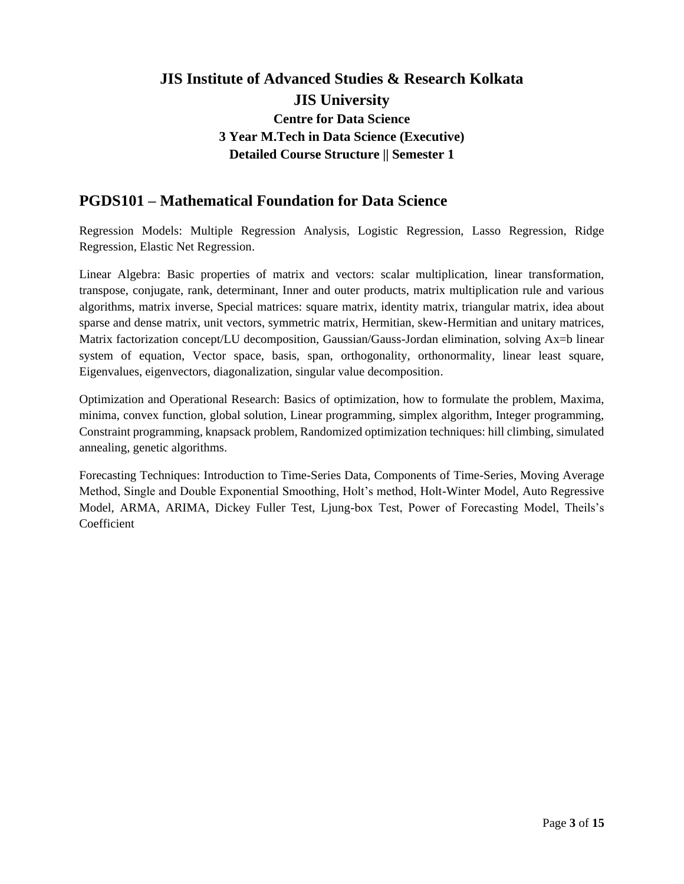### **PGDS101 – Mathematical Foundation for Data Science**

Regression Models: Multiple Regression Analysis, Logistic Regression, Lasso Regression, Ridge Regression, Elastic Net Regression.

Linear Algebra: Basic properties of matrix and vectors: scalar multiplication, linear transformation, transpose, conjugate, rank, determinant, Inner and outer products, matrix multiplication rule and various algorithms, matrix inverse, Special matrices: square matrix, identity matrix, triangular matrix, idea about sparse and dense matrix, unit vectors, symmetric matrix, Hermitian, skew-Hermitian and unitary matrices, Matrix factorization concept/LU decomposition, Gaussian/Gauss-Jordan elimination, solving Ax=b linear system of equation, Vector space, basis, span, orthogonality, orthonormality, linear least square, Eigenvalues, eigenvectors, diagonalization, singular value decomposition.

Optimization and Operational Research: Basics of optimization, how to formulate the problem, Maxima, minima, convex function, global solution, Linear programming, simplex algorithm, Integer programming, Constraint programming, knapsack problem, Randomized optimization techniques: hill climbing, simulated annealing, genetic algorithms.

Forecasting Techniques: Introduction to Time-Series Data, Components of Time-Series, Moving Average Method, Single and Double Exponential Smoothing, Holt's method, Holt-Winter Model, Auto Regressive Model, ARMA, ARIMA, Dickey Fuller Test, Ljung-box Test, Power of Forecasting Model, Theils's Coefficient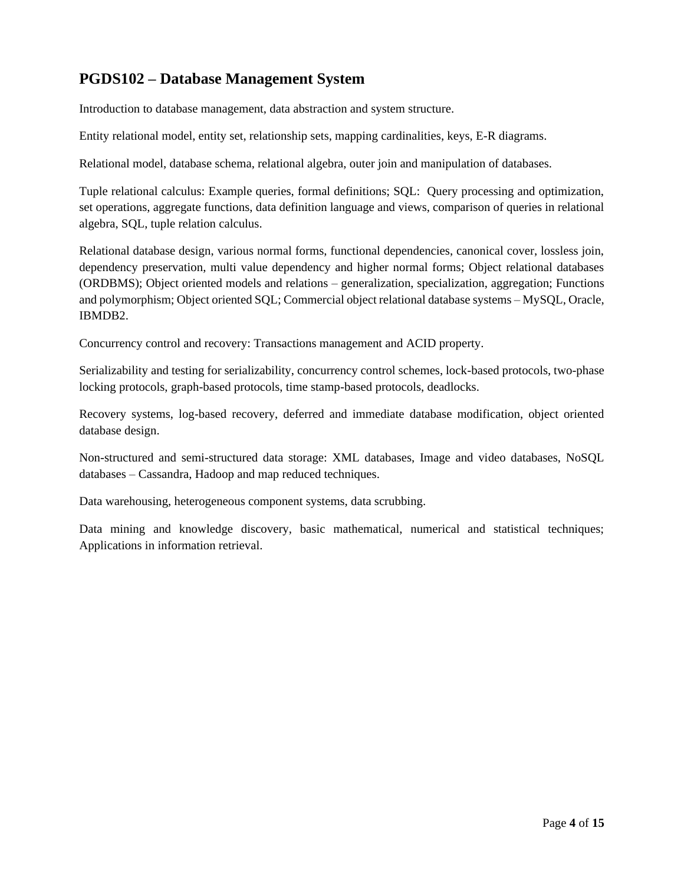# **PGDS102 – Database Management System**

Introduction to database management, data abstraction and system structure.

Entity relational model, entity set, relationship sets, mapping cardinalities, keys, E-R diagrams.

Relational model, database schema, relational algebra, outer join and manipulation of databases.

Tuple relational calculus: Example queries, formal definitions; SQL: Query processing and optimization, set operations, aggregate functions, data definition language and views, comparison of queries in relational algebra, SQL, tuple relation calculus.

Relational database design, various normal forms, functional dependencies, canonical cover, lossless join, dependency preservation, multi value dependency and higher normal forms; Object relational databases (ORDBMS); Object oriented models and relations – generalization, specialization, aggregation; Functions and polymorphism; Object oriented SQL; Commercial object relational database systems – MySQL, Oracle, IBMDB2.

Concurrency control and recovery: Transactions management and ACID property.

Serializability and testing for serializability, concurrency control schemes, lock-based protocols, two-phase locking protocols, graph-based protocols, time stamp-based protocols, deadlocks.

Recovery systems, log-based recovery, deferred and immediate database modification, object oriented database design.

Non-structured and semi-structured data storage: XML databases, Image and video databases, NoSQL databases – Cassandra, Hadoop and map reduced techniques.

Data warehousing, heterogeneous component systems, data scrubbing.

Data mining and knowledge discovery, basic mathematical, numerical and statistical techniques; Applications in information retrieval.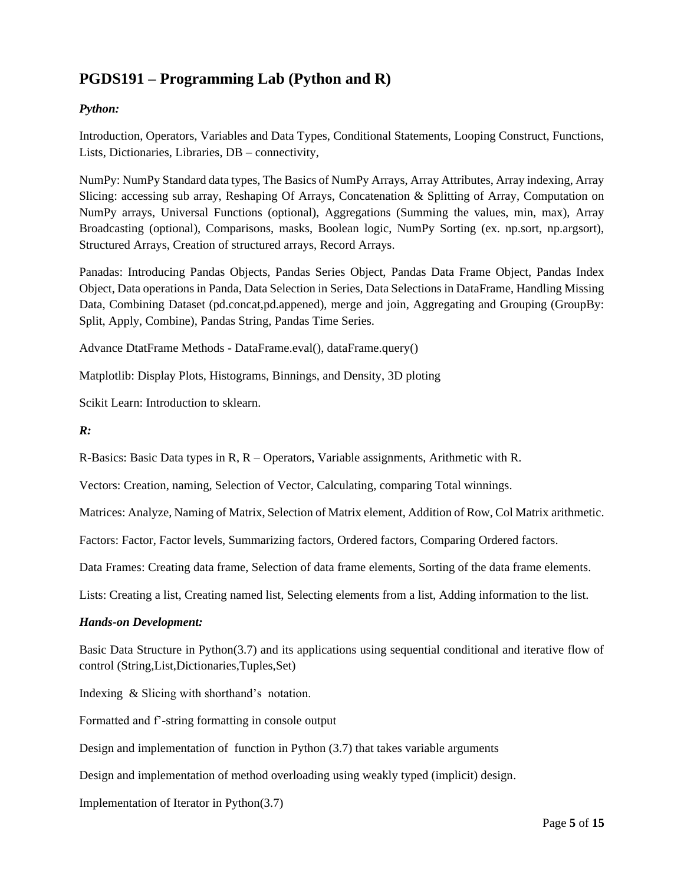# **PGDS191 – Programming Lab (Python and R)**

### *Python:*

Introduction, Operators, Variables and Data Types, Conditional Statements, Looping Construct, Functions, Lists, Dictionaries, Libraries, DB – connectivity,

NumPy: NumPy Standard data types, The Basics of NumPy Arrays, Array Attributes, Array indexing, Array Slicing: accessing sub array, Reshaping Of Arrays, Concatenation & Splitting of Array, Computation on NumPy arrays, Universal Functions (optional), Aggregations (Summing the values, min, max), Array Broadcasting (optional), Comparisons, masks, Boolean logic, NumPy Sorting (ex. np.sort, np.argsort), Structured Arrays, Creation of structured arrays, Record Arrays.

Panadas: Introducing Pandas Objects, Pandas Series Object, Pandas Data Frame Object, Pandas Index Object, Data operations in Panda, Data Selection in Series, Data Selections in DataFrame, Handling Missing Data, Combining Dataset (pd.concat.pd.appened), merge and join, Aggregating and Grouping (GroupBy: Split, Apply, Combine), Pandas String, Pandas Time Series.

Advance DtatFrame Methods - DataFrame.eval(), dataFrame.query()

Matplotlib: Display Plots, Histograms, Binnings, and Density, 3D ploting

Scikit Learn: Introduction to sklearn.

#### *R:*

R-Basics: Basic Data types in R, R – Operators, Variable assignments, Arithmetic with R.

Vectors: Creation, naming, Selection of Vector, Calculating, comparing Total winnings.

Matrices: Analyze, Naming of Matrix, Selection of Matrix element, Addition of Row, Col Matrix arithmetic.

Factors: Factor, Factor levels, Summarizing factors, Ordered factors, Comparing Ordered factors.

Data Frames: Creating data frame, Selection of data frame elements, Sorting of the data frame elements.

Lists: Creating a list, Creating named list, Selecting elements from a list, Adding information to the list.

#### *Hands-on Development:*

Basic Data Structure in Python(3.7) and its applications using sequential conditional and iterative flow of control (String,List,Dictionaries,Tuples,Set)

Indexing & Slicing with shorthand's notation.

Formatted and f'-string formatting in console output

Design and implementation of function in Python (3.7) that takes variable arguments

Design and implementation of method overloading using weakly typed (implicit) design.

Implementation of Iterator in Python(3.7)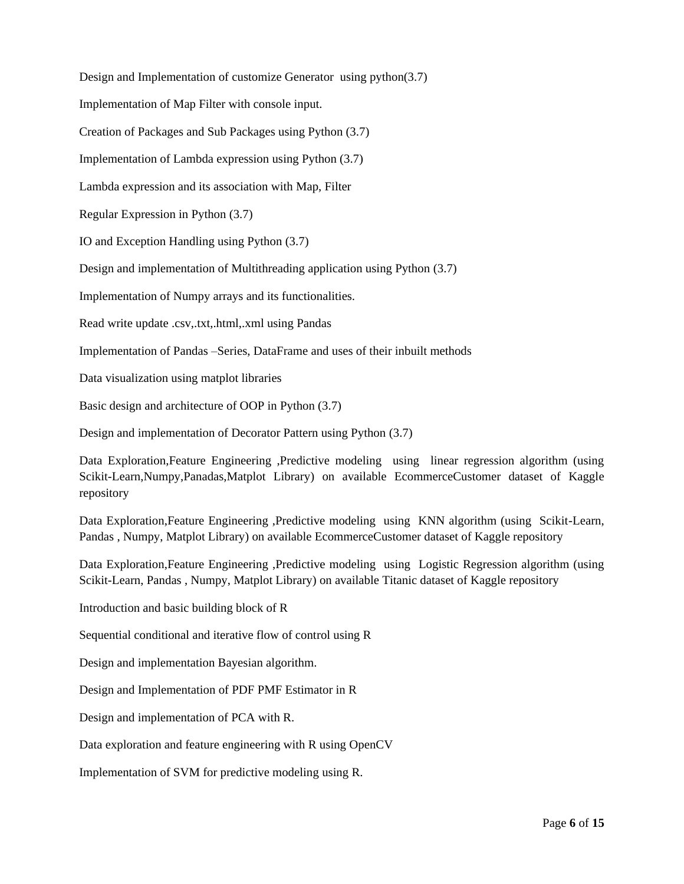Design and Implementation of customize Generator using python(3.7) Implementation of Map Filter with console input. Creation of Packages and Sub Packages using Python (3.7) Implementation of Lambda expression using Python (3.7) Lambda expression and its association with Map, Filter Regular Expression in Python (3.7) IO and Exception Handling using Python (3.7) Design and implementation of Multithreading application using Python (3.7) Implementation of Numpy arrays and its functionalities. Read write update .csv,.txt,.html,.xml using Pandas Implementation of Pandas –Series, DataFrame and uses of their inbuilt methods Data visualization using matplot libraries Basic design and architecture of OOP in Python (3.7) Design and implementation of Decorator Pattern using Python (3.7)

Data Exploration,Feature Engineering ,Predictive modeling using linear regression algorithm (using Scikit-Learn,Numpy,Panadas,Matplot Library) on available EcommerceCustomer dataset of Kaggle repository

Data Exploration,Feature Engineering ,Predictive modeling using KNN algorithm (using Scikit-Learn, Pandas , Numpy, Matplot Library) on available EcommerceCustomer dataset of Kaggle repository

Data Exploration,Feature Engineering ,Predictive modeling using Logistic Regression algorithm (using Scikit-Learn, Pandas , Numpy, Matplot Library) on available Titanic dataset of Kaggle repository

Introduction and basic building block of R

Sequential conditional and iterative flow of control using R

Design and implementation Bayesian algorithm.

Design and Implementation of PDF PMF Estimator in R

Design and implementation of PCA with R.

Data exploration and feature engineering with R using OpenCV

Implementation of SVM for predictive modeling using R.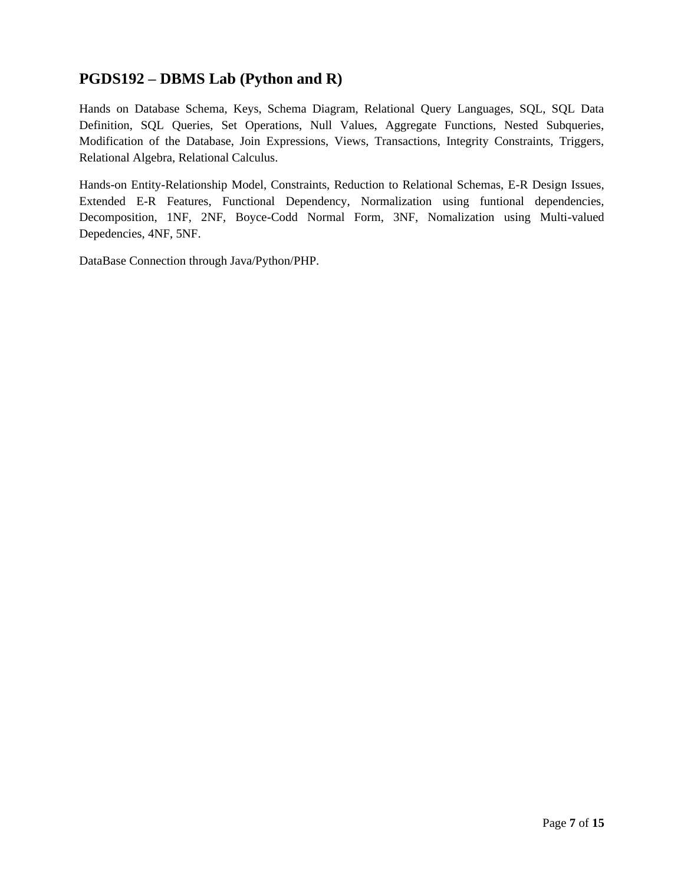## **PGDS192 – DBMS Lab (Python and R)**

Hands on Database Schema, Keys, Schema Diagram, Relational Query Languages, SQL, SQL Data Definition, SQL Queries, Set Operations, Null Values, Aggregate Functions, Nested Subqueries, Modification of the Database, Join Expressions, Views, Transactions, Integrity Constraints, Triggers, Relational Algebra, Relational Calculus.

Hands-on Entity-Relationship Model, Constraints, Reduction to Relational Schemas, E-R Design Issues, Extended E-R Features, Functional Dependency, Normalization using funtional dependencies, Decomposition, 1NF, 2NF, Boyce-Codd Normal Form, 3NF, Nomalization using Multi-valued Depedencies, 4NF, 5NF.

DataBase Connection through Java/Python/PHP.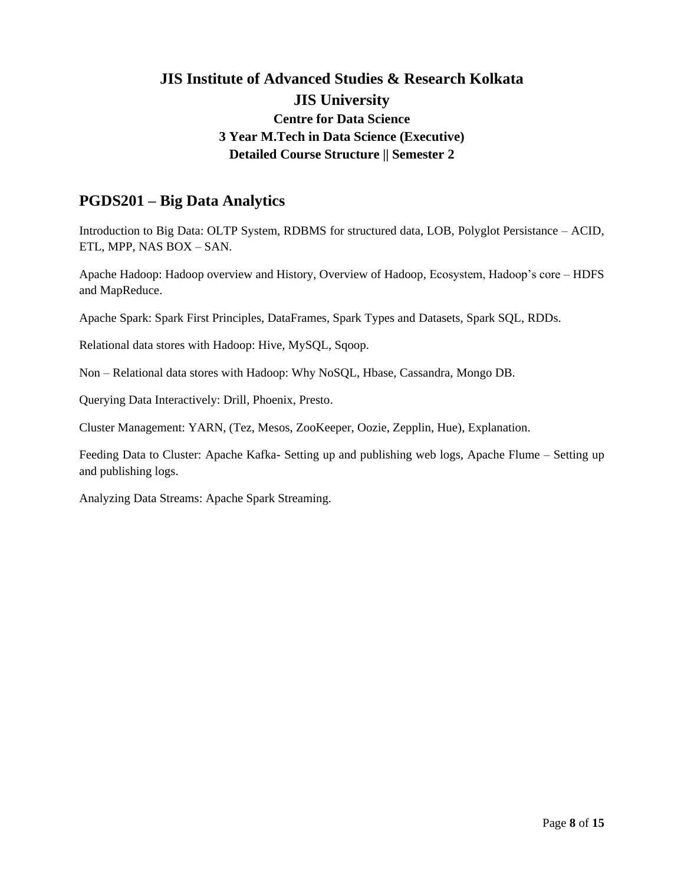### **PGDS201 – Big Data Analytics**

Introduction to Big Data: OLTP System, RDBMS for structured data, LOB, Polyglot Persistance – ACID, ETL, MPP, NAS BOX – SAN.

Apache Hadoop: Hadoop overview and History, Overview of Hadoop, Ecosystem, Hadoop's core – HDFS and MapReduce.

Apache Spark: Spark First Principles, DataFrames, Spark Types and Datasets, Spark SQL, RDDs.

Relational data stores with Hadoop: Hive, MySQL, Sqoop.

Non – Relational data stores with Hadoop: Why NoSQL, Hbase, Cassandra, Mongo DB.

Querying Data Interactively: Drill, Phoenix, Presto.

Cluster Management: YARN, (Tez, Mesos, ZooKeeper, Oozie, Zepplin, Hue), Explanation.

Feeding Data to Cluster: Apache Kafka- Setting up and publishing web logs, Apache Flume – Setting up and publishing logs.

Analyzing Data Streams: Apache Spark Streaming.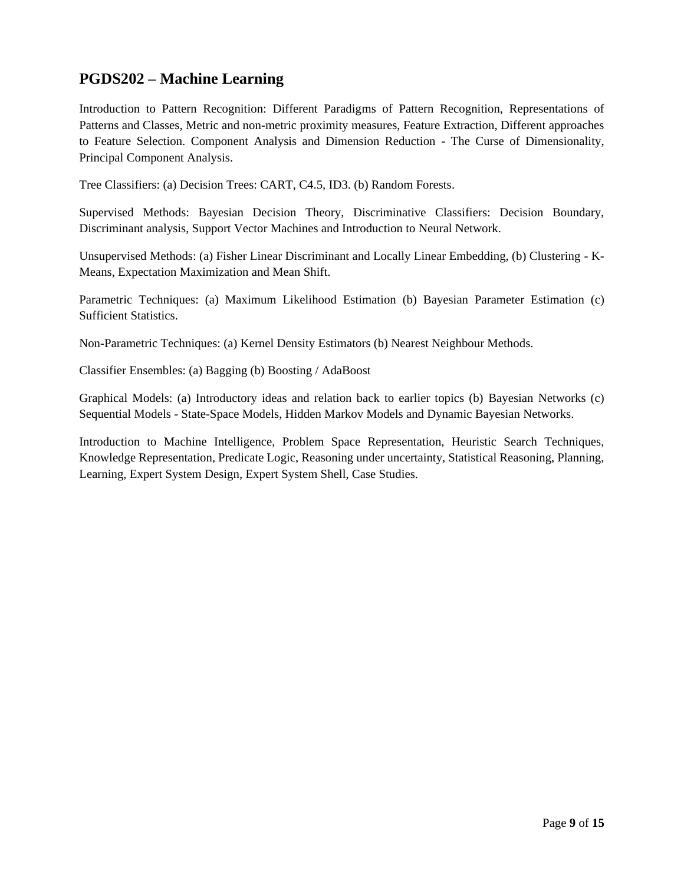## **PGDS202 – Machine Learning**

Introduction to Pattern Recognition: Different Paradigms of Pattern Recognition, Representations of Patterns and Classes, Metric and non-metric proximity measures, Feature Extraction, Different approaches to Feature Selection. Component Analysis and Dimension Reduction - The Curse of Dimensionality, Principal Component Analysis.

Tree Classifiers: (a) Decision Trees: CART, C4.5, ID3. (b) Random Forests.

Supervised Methods: Bayesian Decision Theory, Discriminative Classifiers: Decision Boundary, Discriminant analysis, Support Vector Machines and Introduction to Neural Network.

Unsupervised Methods: (a) Fisher Linear Discriminant and Locally Linear Embedding, (b) Clustering - K-Means, Expectation Maximization and Mean Shift.

Parametric Techniques: (a) Maximum Likelihood Estimation (b) Bayesian Parameter Estimation (c) Sufficient Statistics.

Non-Parametric Techniques: (a) Kernel Density Estimators (b) Nearest Neighbour Methods.

Classifier Ensembles: (a) Bagging (b) Boosting / AdaBoost

Graphical Models: (a) Introductory ideas and relation back to earlier topics (b) Bayesian Networks (c) Sequential Models - State-Space Models, Hidden Markov Models and Dynamic Bayesian Networks.

Introduction to Machine Intelligence, Problem Space Representation, Heuristic Search Techniques, Knowledge Representation, Predicate Logic, Reasoning under uncertainty, Statistical Reasoning, Planning, Learning, Expert System Design, Expert System Shell, Case Studies.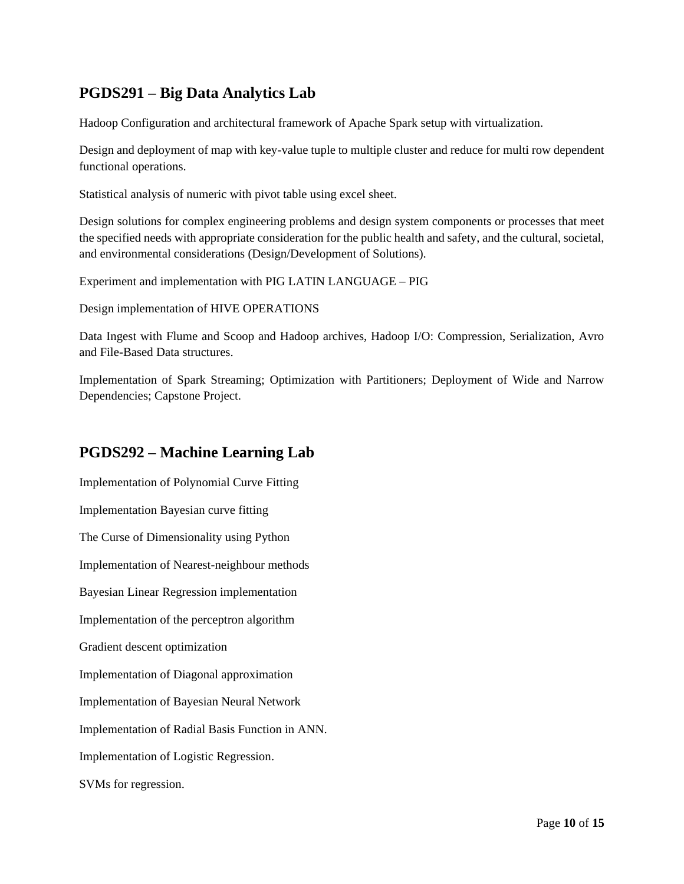## **PGDS291 – Big Data Analytics Lab**

Hadoop Configuration and architectural framework of Apache Spark setup with virtualization.

Design and deployment of map with key-value tuple to multiple cluster and reduce for multi row dependent functional operations.

Statistical analysis of numeric with pivot table using excel sheet.

Design solutions for complex engineering problems and design system components or processes that meet the specified needs with appropriate consideration for the public health and safety, and the cultural, societal, and environmental considerations (Design/Development of Solutions).

Experiment and implementation with PIG LATIN LANGUAGE – PIG

Design implementation of HIVE OPERATIONS

Data Ingest with Flume and Scoop and Hadoop archives, Hadoop I/O: Compression, Serialization, Avro and File-Based Data structures.

Implementation of Spark Streaming; Optimization with Partitioners; Deployment of Wide and Narrow Dependencies; Capstone Project.

### **PGDS292 – Machine Learning Lab**

Implementation of Polynomial Curve Fitting Implementation Bayesian curve fitting The Curse of Dimensionality using Python Implementation of Nearest-neighbour methods Bayesian Linear Regression implementation Implementation of the perceptron algorithm Gradient descent optimization Implementation of Diagonal approximation Implementation of Bayesian Neural Network Implementation of Radial Basis Function in ANN. Implementation of Logistic Regression. SVMs for regression.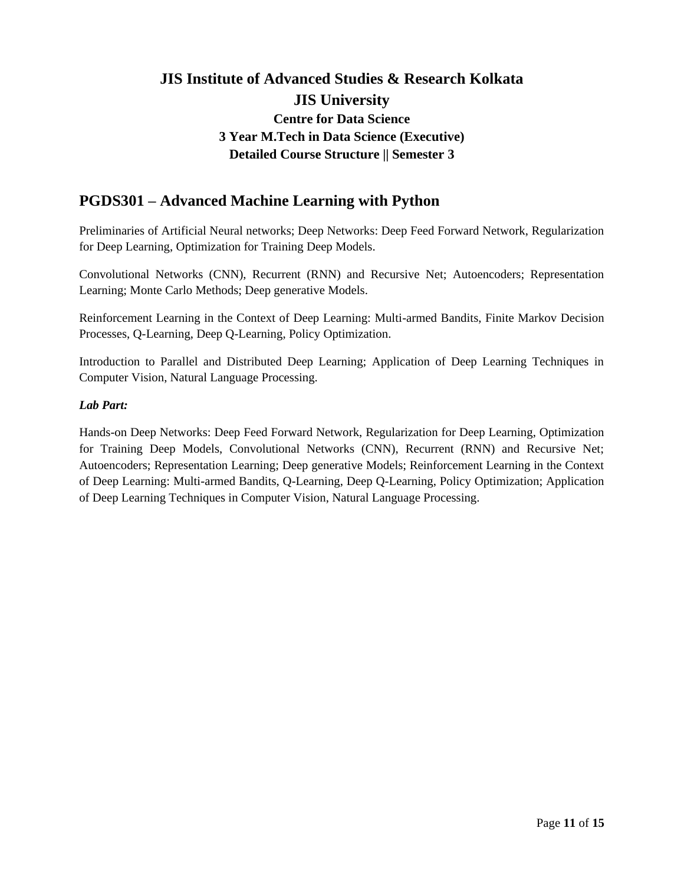## **PGDS301 – Advanced Machine Learning with Python**

Preliminaries of Artificial Neural networks; Deep Networks: Deep Feed Forward Network, Regularization for Deep Learning, Optimization for Training Deep Models.

Convolutional Networks (CNN), Recurrent (RNN) and Recursive Net; Autoencoders; Representation Learning; Monte Carlo Methods; Deep generative Models.

Reinforcement Learning in the Context of Deep Learning: Multi-armed Bandits, Finite Markov Decision Processes, Q-Learning, Deep Q-Learning, Policy Optimization.

Introduction to Parallel and Distributed Deep Learning; Application of Deep Learning Techniques in Computer Vision, Natural Language Processing.

### *Lab Part:*

Hands-on Deep Networks: Deep Feed Forward Network, Regularization for Deep Learning, Optimization for Training Deep Models, Convolutional Networks (CNN), Recurrent (RNN) and Recursive Net; Autoencoders; Representation Learning; Deep generative Models; Reinforcement Learning in the Context of Deep Learning: Multi-armed Bandits, Q-Learning, Deep Q-Learning, Policy Optimization; Application of Deep Learning Techniques in Computer Vision, Natural Language Processing.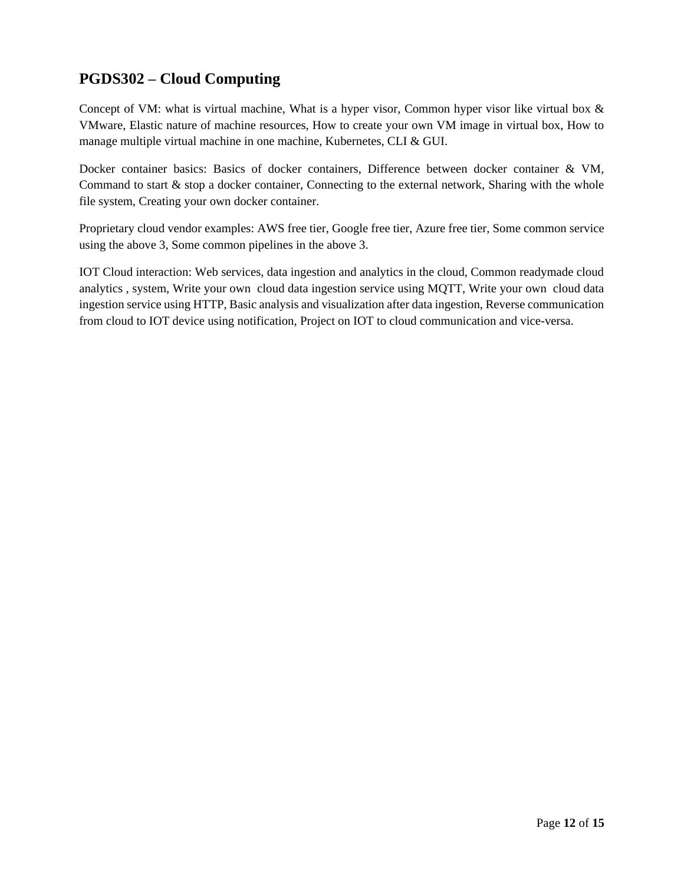# **PGDS302 – Cloud Computing**

Concept of VM: what is virtual machine, What is a hyper visor, Common hyper visor like virtual box & VMware, Elastic nature of machine resources, How to create your own VM image in virtual box, How to manage multiple virtual machine in one machine, Kubernetes, CLI & GUI.

Docker container basics: Basics of docker containers, Difference between docker container & VM, Command to start & stop a docker container, Connecting to the external network, Sharing with the whole file system, Creating your own docker container.

Proprietary cloud vendor examples: AWS free tier, Google free tier, Azure free tier, Some common service using the above 3, Some common pipelines in the above 3.

IOT Cloud interaction: Web services, data ingestion and analytics in the cloud, Common readymade cloud analytics , system, Write your own cloud data ingestion service using MQTT, Write your own cloud data ingestion service using HTTP, Basic analysis and visualization after data ingestion, Reverse communication from cloud to IOT device using notification, Project on IOT to cloud communication and vice-versa.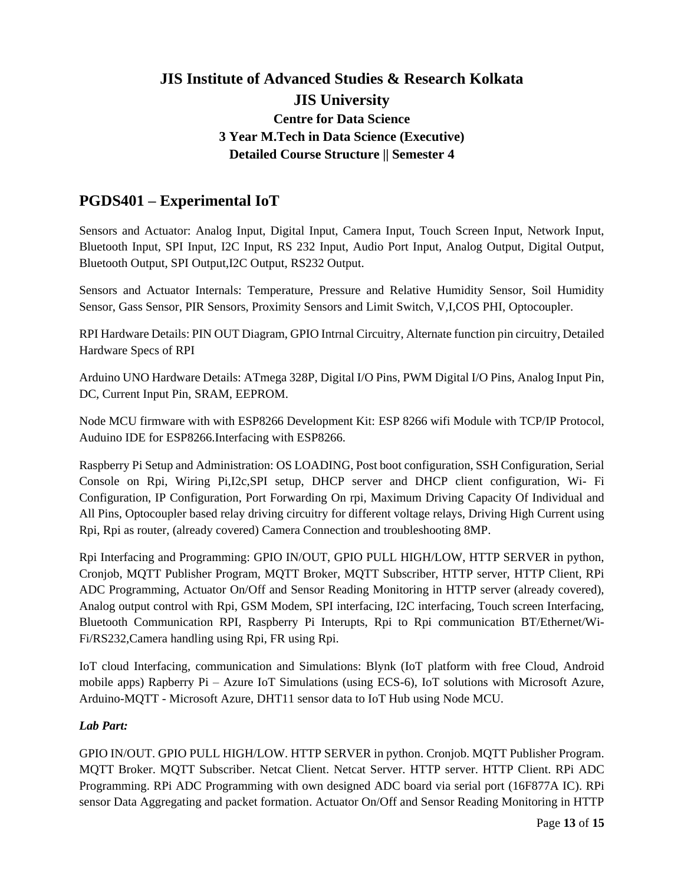# **PGDS401 – Experimental IoT**

Sensors and Actuator: Analog Input, Digital Input, Camera Input, Touch Screen Input, Network Input, Bluetooth Input, SPI Input, I2C Input, RS 232 Input, Audio Port Input, Analog Output, Digital Output, Bluetooth Output, SPI Output,I2C Output, RS232 Output.

Sensors and Actuator Internals: Temperature, Pressure and Relative Humidity Sensor, Soil Humidity Sensor, Gass Sensor, PIR Sensors, Proximity Sensors and Limit Switch, V,I,COS PHI, Optocoupler.

RPI Hardware Details: PIN OUT Diagram, GPIO Intrnal Circuitry, Alternate function pin circuitry, Detailed Hardware Specs of RPI

Arduino UNO Hardware Details: ATmega 328P, Digital I/O Pins, PWM Digital I/O Pins, Analog Input Pin, DC, Current Input Pin, SRAM, EEPROM.

Node MCU firmware with with ESP8266 Development Kit: ESP 8266 wifi Module with TCP/IP Protocol, Auduino IDE for ESP8266.Interfacing with ESP8266.

Raspberry Pi Setup and Administration: OS LOADING, Post boot configuration, SSH Configuration, Serial Console on Rpi, Wiring Pi,I2c,SPI setup, DHCP server and DHCP client configuration, Wi- Fi Configuration, IP Configuration, Port Forwarding On rpi, Maximum Driving Capacity Of Individual and All Pins, Optocoupler based relay driving circuitry for different voltage relays, Driving High Current using Rpi, Rpi as router, (already covered) Camera Connection and troubleshooting 8MP.

Rpi Interfacing and Programming: GPIO IN/OUT, GPIO PULL HIGH/LOW, HTTP SERVER in python, Cronjob, MQTT Publisher Program, MQTT Broker, MQTT Subscriber, HTTP server, HTTP Client, RPi ADC Programming, Actuator On/Off and Sensor Reading Monitoring in HTTP server (already covered), Analog output control with Rpi, GSM Modem, SPI interfacing, I2C interfacing, Touch screen Interfacing, Bluetooth Communication RPI, Raspberry Pi Interupts, Rpi to Rpi communication BT/Ethernet/Wi-Fi/RS232,Camera handling using Rpi, FR using Rpi.

IoT cloud Interfacing, communication and Simulations: Blynk (IoT platform with free Cloud, Android mobile apps) Rapberry Pi – Azure IoT Simulations (using ECS-6), IoT solutions with Microsoft Azure, Arduino-MQTT - Microsoft Azure, DHT11 sensor data to IoT Hub using Node MCU.

### *Lab Part:*

GPIO IN/OUT. GPIO PULL HIGH/LOW. HTTP SERVER in python. Cronjob. MQTT Publisher Program. MQTT Broker. MQTT Subscriber. Netcat Client. Netcat Server. HTTP server. HTTP Client. RPi ADC Programming. RPi ADC Programming with own designed ADC board via serial port (16F877A IC). RPi sensor Data Aggregating and packet formation. Actuator On/Off and Sensor Reading Monitoring in HTTP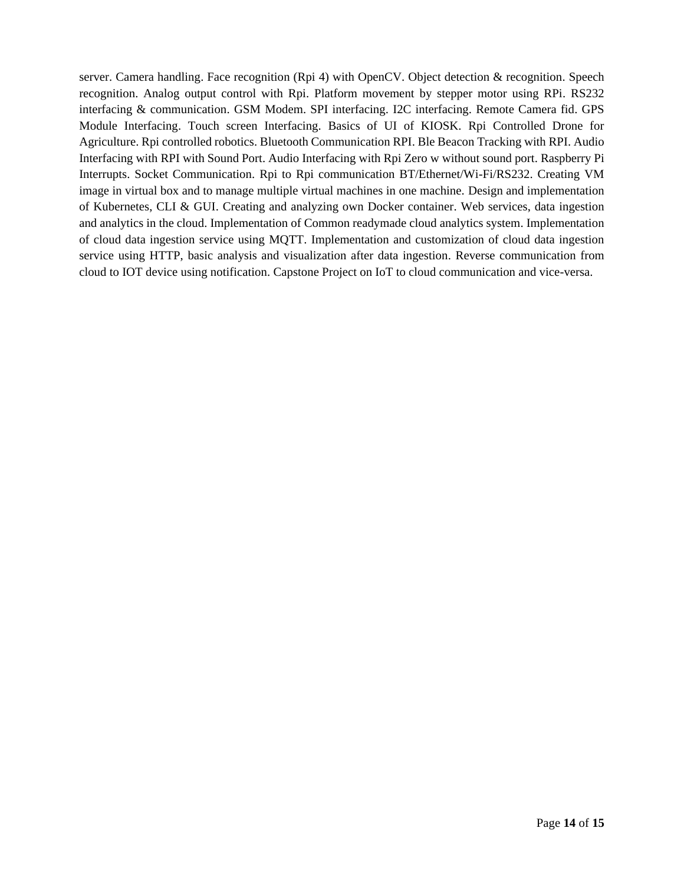server. Camera handling. Face recognition (Rpi 4) with OpenCV. Object detection & recognition. Speech recognition. Analog output control with Rpi. Platform movement by stepper motor using RPi. RS232 interfacing & communication. GSM Modem. SPI interfacing. I2C interfacing. Remote Camera fid. GPS Module Interfacing. Touch screen Interfacing. Basics of UI of KIOSK. Rpi Controlled Drone for Agriculture. Rpi controlled robotics. Bluetooth Communication RPI. Ble Beacon Tracking with RPI. Audio Interfacing with RPI with Sound Port. Audio Interfacing with Rpi Zero w without sound port. Raspberry Pi Interrupts. Socket Communication. Rpi to Rpi communication BT/Ethernet/Wi-Fi/RS232. Creating VM image in virtual box and to manage multiple virtual machines in one machine. Design and implementation of Kubernetes, CLI & GUI. Creating and analyzing own Docker container. Web services, data ingestion and analytics in the cloud. Implementation of Common readymade cloud analytics system. Implementation of cloud data ingestion service using MQTT. Implementation and customization of cloud data ingestion service using HTTP, basic analysis and visualization after data ingestion. Reverse communication from cloud to IOT device using notification. Capstone Project on IoT to cloud communication and vice-versa.